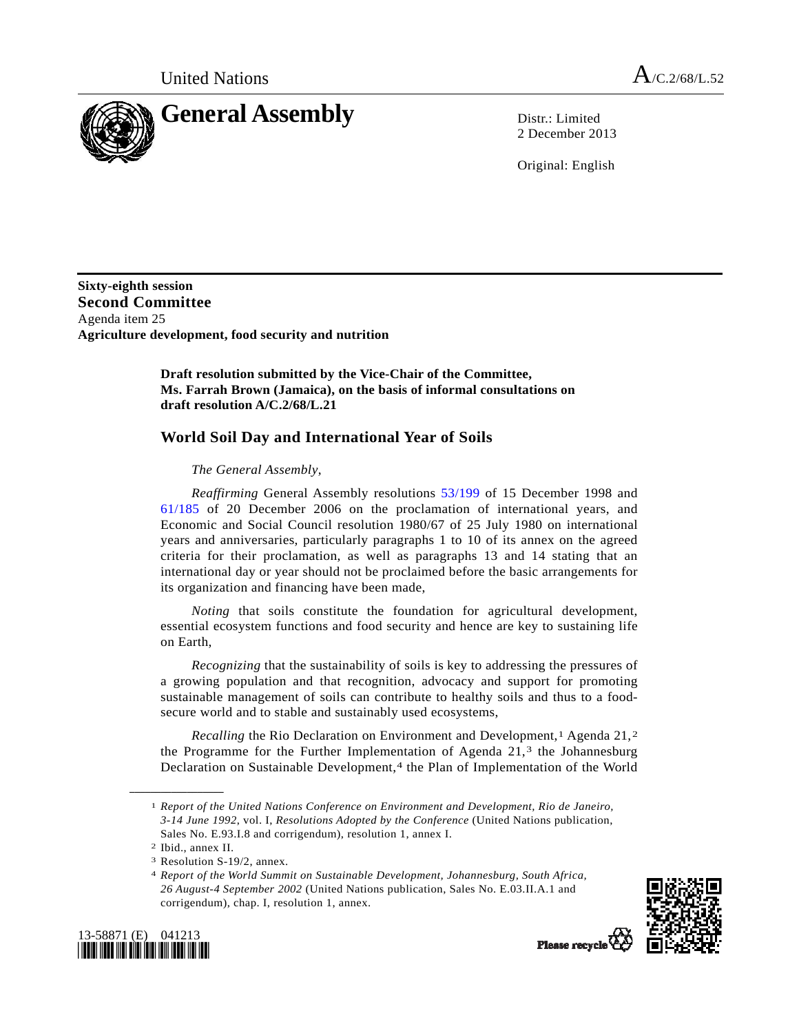

2 December 2013

Original: English

**Sixty-eighth session Second Committee**  Agenda item 25 **Agriculture development, food security and nutrition** 

> **Draft resolution submitted by the Vice-Chair of the Committee, Ms. Farrah Brown (Jamaica), on the basis of informal consultations on draft resolution A/C.2/68/L.21**

## **World Soil Day and International Year of Soils**

## *The General Assembly*,

*Reaffirming* General Assembly resolutions [53/199](http://undocs.org/A/RES/53/199) of 15 December 1998 and [61/185](http://undocs.org/A/RES/61/185) of 20 December 2006 on the proclamation of international years, and Economic and Social Council resolution 1980/67 of 25 July 1980 on international years and anniversaries, particularly paragraphs 1 to 10 of its annex on the agreed criteria for their proclamation, as well as paragraphs 13 and 14 stating that an international day or year should not be proclaimed before the basic arrangements for its organization and financing have been made,

*Noting* that soils constitute the foundation for agricultural development, essential ecosystem functions and food security and hence are key to sustaining life on Earth,

*Recognizing* that the sustainability of soils is key to addressing the pressures of a growing population and that recognition, advocacy and support for promoting sustainable management of soils can contribute to healthy soils and thus to a foodsecure world and to stable and sustainably used ecosystems,

*Recalling* the Rio Declaration on Environment and Development,<sup>[1](#page-0-0)</sup> Agenda [2](#page-0-1)1,<sup>2</sup> the Programme for the Further Implementation of Agenda 21,<sup>3</sup> the Johannesburg Declaration on Sustainable Development,<sup>[4](#page-0-3)</sup> the Plan of Implementation of the World

<span id="page-0-0"></span>**\_\_\_\_\_\_\_\_\_\_\_\_\_\_\_\_\_\_** 

<sup>4</sup> *Report of the World Summit on Sustainable Development, Johannesburg, South Africa, 26 August-4 September 2002* (United Nations publication, Sales No. E.03.II.A.1 and corrigendum), chap. I, resolution 1, annex.



<span id="page-0-3"></span><span id="page-0-2"></span><span id="page-0-1"></span>

<sup>1</sup> *Report of the United Nations Conference on Environment and Development, Rio de Janeiro, 3-14 June 1992*, vol. I, *Resolutions Adopted by the Conference* (United Nations publication, Sales No. E.93.I.8 and corrigendum), resolution 1, annex I.

<sup>2</sup> Ibid., annex II.

<sup>3</sup> Resolution S-19/2, annex.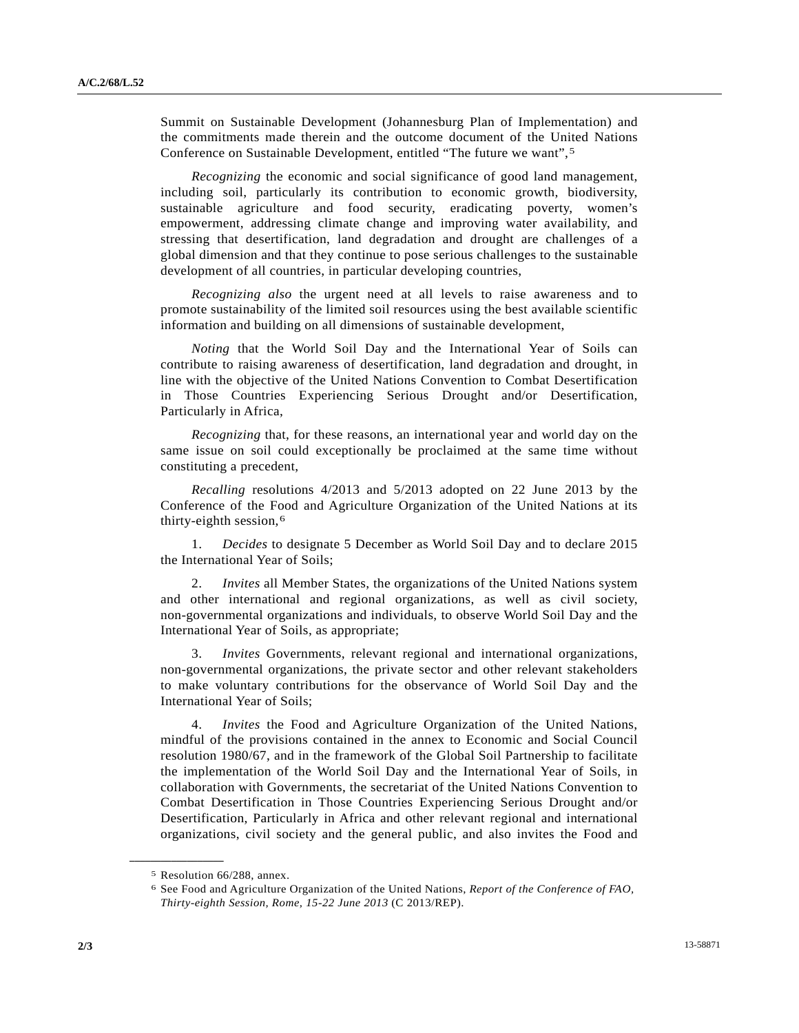Summit on Sustainable Development (Johannesburg Plan of Implementation) and the commitments made therein and the outcome document of the United Nations Conference on Sustainable Development, entitled "The future we want",[5](#page-1-0) 

*Recognizing* the economic and social significance of good land management, including soil, particularly its contribution to economic growth, biodiversity, sustainable agriculture and food security, eradicating poverty, women's empowerment, addressing climate change and improving water availability, and stressing that desertification, land degradation and drought are challenges of a global dimension and that they continue to pose serious challenges to the sustainable development of all countries, in particular developing countries,

*Recognizing also* the urgent need at all levels to raise awareness and to promote sustainability of the limited soil resources using the best available scientific information and building on all dimensions of sustainable development,

*Noting* that the World Soil Day and the International Year of Soils can contribute to raising awareness of desertification, land degradation and drought, in line with the objective of the United Nations Convention to Combat Desertification in Those Countries Experiencing Serious Drought and/or Desertification, Particularly in Africa,

*Recognizing* that, for these reasons, an international year and world day on the same issue on soil could exceptionally be proclaimed at the same time without constituting a precedent,

*Recalling* resolutions 4/2013 and 5/2013 adopted on 22 June 2013 by the Conference of the Food and Agriculture Organization of the United Nations at its thirty-eighth session,[6](#page-1-1)

 1. *Decides* to designate 5 December as World Soil Day and to declare 2015 the International Year of Soils;

 2. *Invites* all Member States, the organizations of the United Nations system and other international and regional organizations, as well as civil society, non-governmental organizations and individuals, to observe World Soil Day and the International Year of Soils, as appropriate;

*Invites* Governments, relevant regional and international organizations, non-governmental organizations, the private sector and other relevant stakeholders to make voluntary contributions for the observance of World Soil Day and the International Year of Soils;

 4. *Invites* the Food and Agriculture Organization of the United Nations, mindful of the provisions contained in the annex to Economic and Social Council resolution 1980/67, and in the framework of the Global Soil Partnership to facilitate the implementation of the World Soil Day and the International Year of Soils, in collaboration with Governments, the secretariat of the United Nations Convention to Combat Desertification in Those Countries Experiencing Serious Drought and/or Desertification, Particularly in Africa and other relevant regional and international organizations, civil society and the general public, and also invites the Food and

<span id="page-1-1"></span><span id="page-1-0"></span>**\_\_\_\_\_\_\_\_\_\_\_\_\_\_\_\_\_\_** 

<sup>5</sup> Resolution 66/288, annex.

<sup>6</sup> See Food and Agriculture Organization of the United Nations, *Report of the Conference of FAO, Thirty-eighth Session, Rome, 15-22 June 2013* (C 2013/REP).